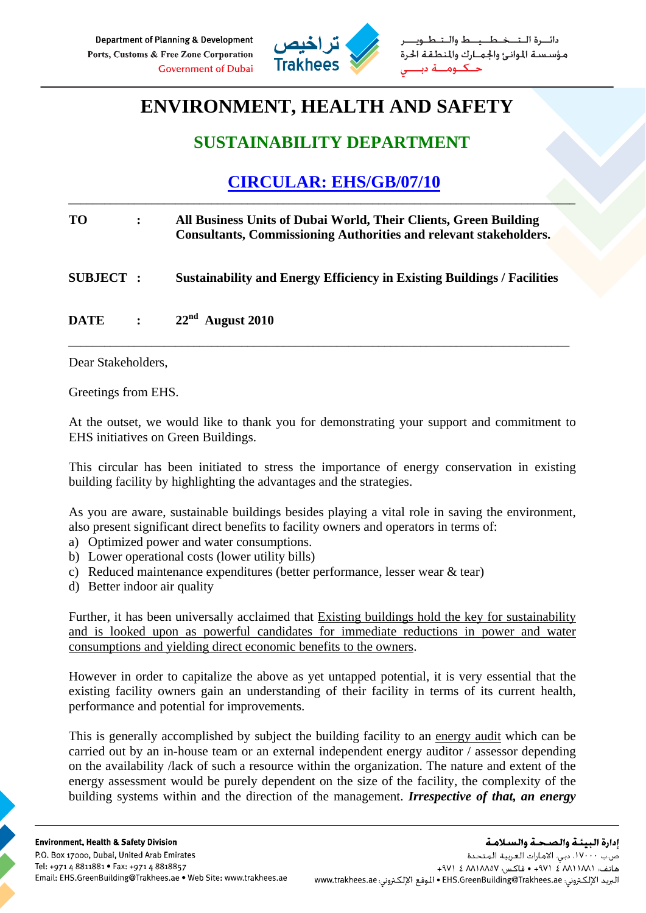

طــيــط والــتـ مؤسستة الموانئ والجمارك والمنطقة الحرة

# **ENVIRONMENT, HEALTH AND SAFETY**

### **SUSTAINABILITY DEPARTMENT**

## **CIRCULAR: EHS/GB/07/10**

\_\_\_\_\_\_\_\_\_\_\_\_\_\_\_\_\_\_\_\_\_\_\_\_\_\_\_\_\_\_\_\_\_\_\_\_\_\_\_\_\_\_\_\_\_\_\_\_\_\_\_\_\_\_\_\_\_\_\_\_\_\_\_\_\_\_\_\_\_\_\_\_\_\_\_\_\_\_\_\_\_\_\_\_\_

| <b>TO</b>       | All Business Units of Dubai World, Their Clients, Green Building<br><b>Consultants, Commissioning Authorities and relevant stakeholders.</b> |
|-----------------|----------------------------------------------------------------------------------------------------------------------------------------------|
| <b>SUBJECT:</b> | <b>Sustainability and Energy Efficiency in Existing Buildings / Facilities</b>                                                               |
| <b>DATE</b>     | $\therefore$ 22 <sup>nd</sup> August 2010                                                                                                    |

Dear Stakeholders,

Greetings from EHS.

At the outset, we would like to thank you for demonstrating your support and commitment to EHS initiatives on Green Buildings.

This circular has been initiated to stress the importance of energy conservation in existing building facility by highlighting the advantages and the strategies.

As you are aware, sustainable buildings besides playing a vital role in saving the environment, also present significant direct benefits to facility owners and operators in terms of:

- a) Optimized power and water consumptions.
- b) Lower operational costs (lower utility bills)
- c) Reduced maintenance expenditures (better performance, lesser wear  $\&$  tear)
- d) Better indoor air quality

Further, it has been universally acclaimed that Existing buildings hold the key for sustainability and is looked upon as powerful candidates for immediate reductions in power and water consumptions and yielding direct economic benefits to the owners.

However in order to capitalize the above as yet untapped potential, it is very essential that the existing facility owners gain an understanding of their facility in terms of its current health, performance and potential for improvements.

This is generally accomplished by subject the building facility to an energy audit which can be carried out by an in-house team or an external independent energy auditor / assessor depending on the availability /lack of such a resource within the organization. The nature and extent of the energy assessment would be purely dependent on the size of the facility, the complexity of the building systems within and the direction of the management. *Irrespective of that, an energy*